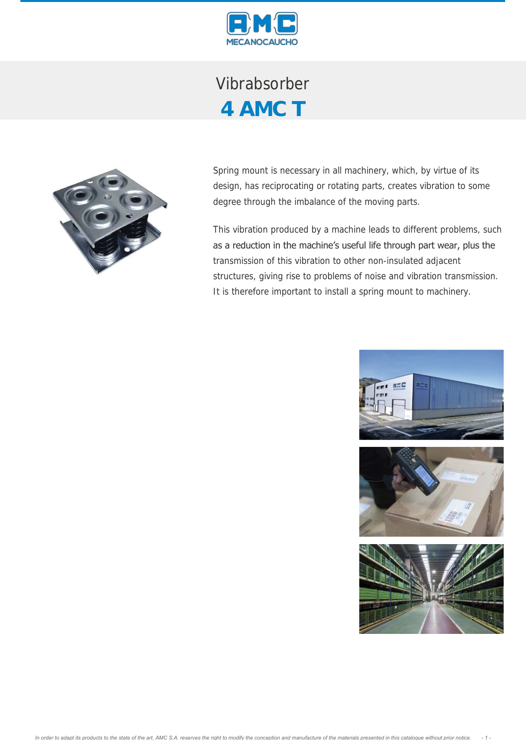

Vibrabsorber **4 AMC T**



Spring mount is necessary in all machinery, which, by virtue of its design, has reciprocating or rotating parts, creates vibration to some degree through the imbalance of the moving parts.

This vibration produced by a machine leads to different problems, such as a reduction in the machine's useful life through part wear, plus the transmission of this vibration to other non-insulated adjacent structures, giving rise to problems of noise and vibration transmission. It is therefore important to install a spring mount to machinery.

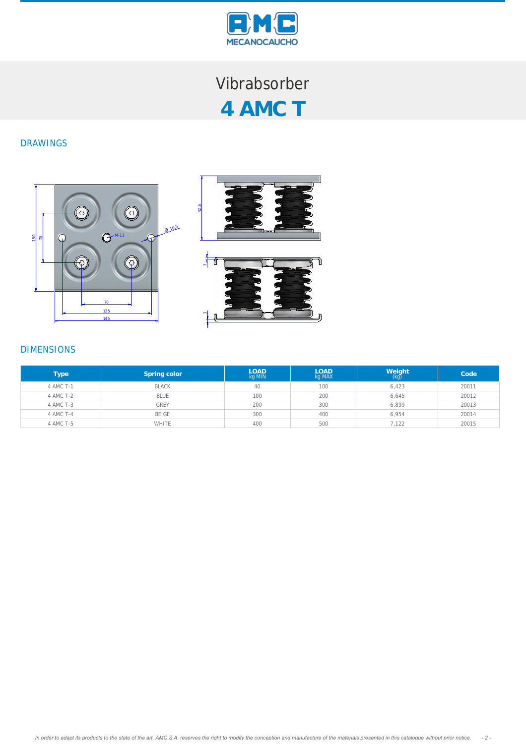

## Vibrabsorber **4 AMC T**

## DRAWINGS





## DIMENSIONS

| <b>Type</b> | Spring color | <b>LOAD</b><br>kg MIN | <b>LOAD</b><br>kg MAX | $W$ eight $(kg)$ | Code  |
|-------------|--------------|-----------------------|-----------------------|------------------|-------|
| 4 AMC T-1   | <b>BLACK</b> | 40                    | 100                   | 6.423            | 20011 |
| 4 AMC T-2   | <b>BLUE</b>  | 100                   | 200                   | 6,645            | 20012 |
| 4 AMC T-3   | <b>GREY</b>  | 200                   | 300                   | 6,899            | 20013 |
| 4 AMC T-4   | BEIGE        | 300                   | 400                   | 6.954            | 20014 |
| 4 AMC T-5   | WHITE        | 400                   | 500                   | 7,122            | 20015 |